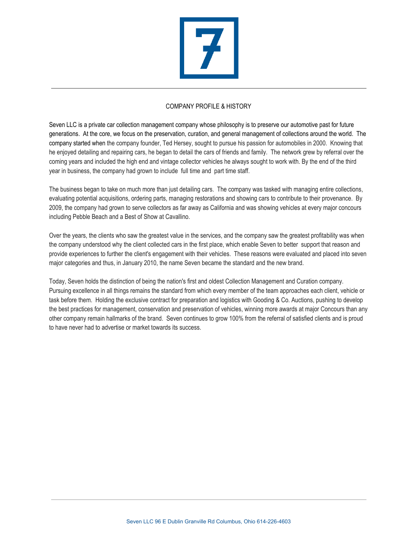

## COMPANY PROFILE & HISTORY

Seven LLC is a private car collection management company whose philosophy is to preserve our automotive past for future generations. At the core, we focus on the preservation, curation, and general management of collections around the world. The company started when the company founder, Ted Hersey, sought to pursue his passion for automobiles in 2000. Knowing that he enjoyed detailing and repairing cars, he began to detail the cars of friends and family. The network grew by referral over the coming years and included the high end and vintage collector vehicles he always sought to work with. By the end of the third year in business, the company had grown to include full time and part time staff.

The business began to take on much more than just detailing cars. The company was tasked with managing entire collections, evaluating potential acquisitions, ordering parts, managing restorations and showing cars to contribute to their provenance. By 2009, the company had grown to serve collectors as far away as California and was showing vehicles at every major concours including Pebble Beach and a Best of Show at Cavallino.

Over the years, the clients who saw the greatest value in the services, and the company saw the greatest profitability was when the company understood why the client collected cars in the first place, which enable Seven to better support that reason and provide experiences to further the client's engagement with their vehicles. These reasons were evaluated and placed into seven major categories and thus, in January 2010, the name Seven became the standard and the new brand.

Today, Seven holds the distinction of being the nation's first and oldest Collection Management and Curation company. Pursuing excellence in all things remains the standard from which every member of the team approaches each client, vehicle or task before them. Holding the exclusive contract for preparation and logistics with Gooding & Co. Auctions, pushing to develop the best practices for management, conservation and preservation of vehicles, winning more awards at major Concours than any other company remain hallmarks of the brand. Seven continues to grow 100% from the referral of satisfied clients and is proud to have never had to advertise or market towards its success.